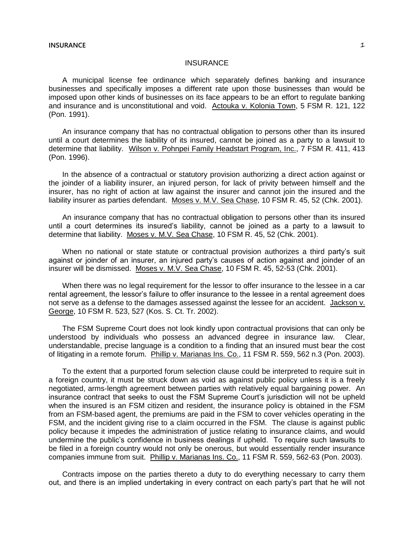A municipal license fee ordinance which separately defines banking and insurance businesses and specifically imposes a different rate upon those businesses than would be imposed upon other kinds of businesses on its face appears to be an effort to regulate banking and insurance and is unconstitutional and void. Actouka v. Kolonia Town, 5 FSM R. 121, 122 (Pon. 1991).

An insurance company that has no contractual obligation to persons other than its insured until a court determines the liability of its insured, cannot be joined as a party to a lawsuit to determine that liability. Wilson v. Pohnpei Family Headstart Program, Inc., 7 FSM R. 411, 413 (Pon. 1996).

In the absence of a contractual or statutory provision authorizing a direct action against or the joinder of a liability insurer, an injured person, for lack of privity between himself and the insurer, has no right of action at law against the insurer and cannot join the insured and the liability insurer as parties defendant. Moses v. M.V. Sea Chase, 10 FSM R. 45, 52 (Chk. 2001).

An insurance company that has no contractual obligation to persons other than its insured until a court determines its insured's liability, cannot be joined as a party to a lawsuit to determine that liability. Moses v. M.V. Sea Chase, 10 FSM R. 45, 52 (Chk. 2001).

When no national or state statute or contractual provision authorizes a third party's suit against or joinder of an insurer, an injured party's causes of action against and joinder of an insurer will be dismissed. Moses v. M.V. Sea Chase, 10 FSM R. 45, 52-53 (Chk. 2001).

When there was no legal requirement for the lessor to offer insurance to the lessee in a car rental agreement, the lessor's failure to offer insurance to the lessee in a rental agreement does not serve as a defense to the damages assessed against the lessee for an accident. Jackson v. George, 10 FSM R. 523, 527 (Kos. S. Ct. Tr. 2002).

The FSM Supreme Court does not look kindly upon contractual provisions that can only be understood by individuals who possess an advanced degree in insurance law. Clear, understandable, precise language is a condition to a finding that an insured must bear the cost of litigating in a remote forum. Phillip v. Marianas Ins. Co., 11 FSM R. 559, 562 n.3 (Pon. 2003).

To the extent that a purported forum selection clause could be interpreted to require suit in a foreign country, it must be struck down as void as against public policy unless it is a freely negotiated, arms-length agreement between parties with relatively equal bargaining power. An insurance contract that seeks to oust the FSM Supreme Court's jurisdiction will not be upheld when the insured is an FSM citizen and resident, the insurance policy is obtained in the FSM from an FSM-based agent, the premiums are paid in the FSM to cover vehicles operating in the FSM, and the incident giving rise to a claim occurred in the FSM. The clause is against public policy because it impedes the administration of justice relating to insurance claims, and would undermine the public's confidence in business dealings if upheld. To require such lawsuits to be filed in a foreign country would not only be onerous, but would essentially render insurance companies immune from suit. Phillip v. Marianas Ins. Co., 11 FSM R. 559, 562-63 (Pon. 2003).

Contracts impose on the parties thereto a duty to do everything necessary to carry them out, and there is an implied undertaking in every contract on each party's part that he will not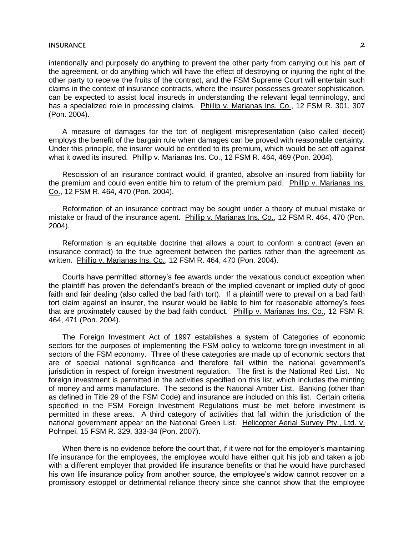intentionally and purposely do anything to prevent the other party from carrying out his part of the agreement, or do anything which will have the effect of destroying or injuring the right of the other party to receive the fruits of the contract, and the FSM Supreme Court will entertain such claims in the context of insurance contracts, where the insurer possesses greater sophistication, can be expected to assist local insureds in understanding the relevant legal terminology, and has a specialized role in processing claims. Phillip v. Marianas Ins. Co., 12 FSM R. 301, 307 (Pon. 2004).

A measure of damages for the tort of negligent misrepresentation (also called deceit) employs the benefit of the bargain rule when damages can be proved with reasonable certainty. Under this principle, the insurer would be entitled to its premium, which would be set off against what it owed its insured. Phillip v. Marianas Ins. Co., 12 FSM R. 464, 469 (Pon. 2004).

Rescission of an insurance contract would, if granted, absolve an insured from liability for the premium and could even entitle him to return of the premium paid. Phillip v. Marianas Ins. Co., 12 FSM R. 464, 470 (Pon. 2004).

Reformation of an insurance contract may be sought under a theory of mutual mistake or mistake or fraud of the insurance agent. Phillip v. Marianas Ins. Co., 12 FSM R. 464, 470 (Pon. 2004).

Reformation is an equitable doctrine that allows a court to conform a contract (even an insurance contract) to the true agreement between the parties rather than the agreement as written. Phillip v. Marianas Ins. Co., 12 FSM R. 464, 470 (Pon. 2004).

Courts have permitted attorney's fee awards under the vexatious conduct exception when the plaintiff has proven the defendant's breach of the implied covenant or implied duty of good faith and fair dealing (also called the bad faith tort). If a plaintiff were to prevail on a bad faith tort claim against an insurer, the insurer would be liable to him for reasonable attorney's fees that are proximately caused by the bad faith conduct. Phillip v. Marianas Ins. Co., 12 FSM R. 464, 471 (Pon. 2004).

The Foreign Investment Act of 1997 establishes a system of Categories of economic sectors for the purposes of implementing the FSM policy to welcome foreign investment in all sectors of the FSM economy. Three of these categories are made up of economic sectors that are of special national significance and therefore fall within the national government's jurisdiction in respect of foreign investment regulation. The first is the National Red List. No foreign investment is permitted in the activities specified on this list, which includes the minting of money and arms manufacture. The second is the National Amber List. Banking (other than as defined in Title 29 of the FSM Code) and insurance are included on this list. Certain criteria specified in the FSM Foreign Investment Regulations must be met before investment is permitted in these areas. A third category of activities that fall within the jurisdiction of the national government appear on the National Green List. Helicopter Aerial Survey Pty., Ltd. v. Pohnpei, 15 FSM R. 329, 333-34 (Pon. 2007).

When there is no evidence before the court that, if it were not for the employer's maintaining life insurance for the employees, the employee would have either quit his job and taken a job with a different employer that provided life insurance benefits or that he would have purchased his own life insurance policy from another source, the employee's widow cannot recover on a promissory estoppel or detrimental reliance theory since she cannot show that the employee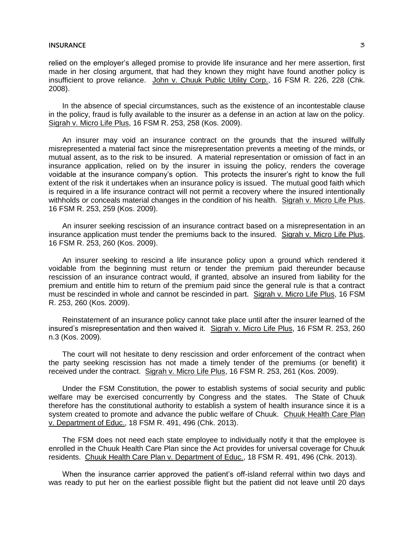relied on the employer's alleged promise to provide life insurance and her mere assertion, first made in her closing argument, that had they known they might have found another policy is insufficient to prove reliance. John v. Chuuk Public Utility Corp., 16 FSM R. 226, 228 (Chk. 2008).

In the absence of special circumstances, such as the existence of an incontestable clause in the policy, fraud is fully available to the insurer as a defense in an action at law on the policy. Sigrah v. Micro Life Plus, 16 FSM R. 253, 258 (Kos. 2009).

An insurer may void an insurance contract on the grounds that the insured willfully misrepresented a material fact since the misrepresentation prevents a meeting of the minds, or mutual assent, as to the risk to be insured. A material representation or omission of fact in an insurance application, relied on by the insurer in issuing the policy, renders the coverage voidable at the insurance company's option. This protects the insurer's right to know the full extent of the risk it undertakes when an insurance policy is issued. The mutual good faith which is required in a life insurance contract will not permit a recovery where the insured intentionally withholds or conceals material changes in the condition of his health. Sigrah v. Micro Life Plus, 16 FSM R. 253, 259 (Kos. 2009).

An insurer seeking rescission of an insurance contract based on a misrepresentation in an insurance application must tender the premiums back to the insured. Sigrah v. Micro Life Plus, 16 FSM R. 253, 260 (Kos. 2009).

An insurer seeking to rescind a life insurance policy upon a ground which rendered it voidable from the beginning must return or tender the premium paid thereunder because rescission of an insurance contract would, if granted, absolve an insured from liability for the premium and entitle him to return of the premium paid since the general rule is that a contract must be rescinded in whole and cannot be rescinded in part. Sigrah v. Micro Life Plus, 16 FSM R. 253, 260 (Kos. 2009).

Reinstatement of an insurance policy cannot take place until after the insurer learned of the insured's misrepresentation and then waived it. Sigrah v. Micro Life Plus, 16 FSM R. 253, 260 n.3 (Kos. 2009).

The court will not hesitate to deny rescission and order enforcement of the contract when the party seeking rescission has not made a timely tender of the premiums (or benefit) it received under the contract. Sigrah v. Micro Life Plus, 16 FSM R. 253, 261 (Kos. 2009).

Under the FSM Constitution, the power to establish systems of social security and public welfare may be exercised concurrently by Congress and the states. The State of Chuuk therefore has the constitutional authority to establish a system of health insurance since it is a system created to promote and advance the public welfare of Chuuk. Chuuk Health Care Plan v. Department of Educ., 18 FSM R. 491, 496 (Chk. 2013).

The FSM does not need each state employee to individually notify it that the employee is enrolled in the Chuuk Health Care Plan since the Act provides for universal coverage for Chuuk residents. Chuuk Health Care Plan v. Department of Educ., 18 FSM R. 491, 496 (Chk. 2013).

When the insurance carrier approved the patient's off-island referral within two days and was ready to put her on the earliest possible flight but the patient did not leave until 20 days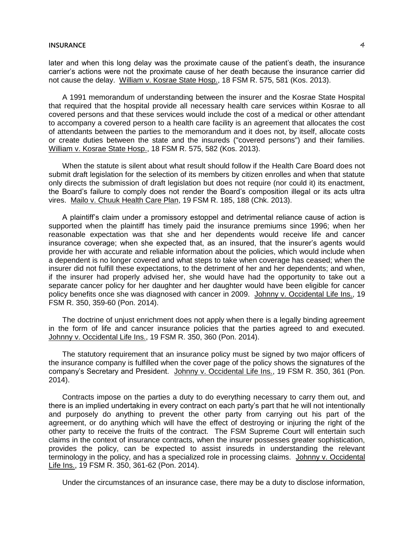later and when this long delay was the proximate cause of the patient's death, the insurance carrier's actions were not the proximate cause of her death because the insurance carrier did not cause the delay. William v. Kosrae State Hosp., 18 FSM R. 575, 581 (Kos. 2013).

A 1991 memorandum of understanding between the insurer and the Kosrae State Hospital that required that the hospital provide all necessary health care services within Kosrae to all covered persons and that these services would include the cost of a medical or other attendant to accompany a covered person to a health care facility is an agreement that allocates the cost of attendants between the parties to the memorandum and it does not, by itself, allocate costs or create duties between the state and the insureds ("covered persons") and their families. William v. Kosrae State Hosp., 18 FSM R. 575, 582 (Kos. 2013).

When the statute is silent about what result should follow if the Health Care Board does not submit draft legislation for the selection of its members by citizen enrolles and when that statute only directs the submission of draft legislation but does not require (nor could it) its enactment, the Board's failure to comply does not render the Board's composition illegal or its acts ultra vires. Mailo v. Chuuk Health Care Plan, 19 FSM R. 185, 188 (Chk. 2013).

A plaintiff's claim under a promissory estoppel and detrimental reliance cause of action is supported when the plaintiff has timely paid the insurance premiums since 1996; when her reasonable expectation was that she and her dependents would receive life and cancer insurance coverage; when she expected that, as an insured, that the insurer's agents would provide her with accurate and reliable information about the policies, which would include when a dependent is no longer covered and what steps to take when coverage has ceased; when the insurer did not fulfill these expectations, to the detriment of her and her dependents; and when, if the insurer had properly advised her, she would have had the opportunity to take out a separate cancer policy for her daughter and her daughter would have been eligible for cancer policy benefits once she was diagnosed with cancer in 2009. Johnny v. Occidental Life Ins., 19 FSM R. 350, 359-60 (Pon. 2014).

The doctrine of unjust enrichment does not apply when there is a legally binding agreement in the form of life and cancer insurance policies that the parties agreed to and executed. Johnny v. Occidental Life Ins., 19 FSM R. 350, 360 (Pon. 2014).

The statutory requirement that an insurance policy must be signed by two major officers of the insurance company is fulfilled when the cover page of the policy shows the signatures of the company's Secretary and President. Johnny v. Occidental Life Ins., 19 FSM R. 350, 361 (Pon. 2014).

Contracts impose on the parties a duty to do everything necessary to carry them out, and there is an implied undertaking in every contract on each party's part that he will not intentionally and purposely do anything to prevent the other party from carrying out his part of the agreement, or do anything which will have the effect of destroying or injuring the right of the other party to receive the fruits of the contract. The FSM Supreme Court will entertain such claims in the context of insurance contracts, when the insurer possesses greater sophistication, provides the policy, can be expected to assist insureds in understanding the relevant terminology in the policy, and has a specialized role in processing claims. Johnny v. Occidental Life Ins., 19 FSM R. 350, 361-62 (Pon. 2014).

Under the circumstances of an insurance case, there may be a duty to disclose information,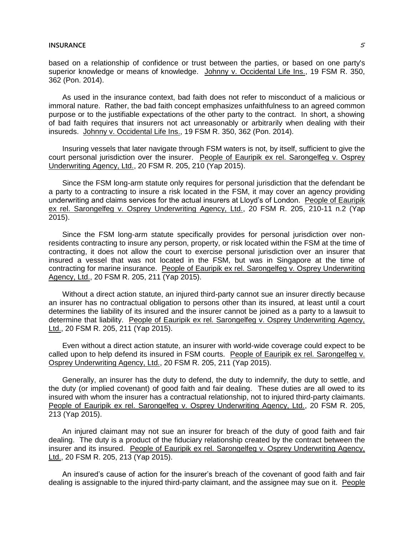based on a relationship of confidence or trust between the parties, or based on one party's superior knowledge or means of knowledge. Johnny v. Occidental Life Ins., 19 FSM R. 350, 362 (Pon. 2014).

As used in the insurance context, bad faith does not refer to misconduct of a malicious or immoral nature. Rather, the bad faith concept emphasizes unfaithfulness to an agreed common purpose or to the justifiable expectations of the other party to the contract. In short, a showing of bad faith requires that insurers not act unreasonably or arbitrarily when dealing with their insureds. Johnny v. Occidental Life Ins., 19 FSM R. 350, 362 (Pon. 2014).

Insuring vessels that later navigate through FSM waters is not, by itself, sufficient to give the court personal jurisdiction over the insurer. People of Eauripik ex rel. Sarongelfeg v. Osprey Underwriting Agency, Ltd., 20 FSM R. 205, 210 (Yap 2015).

Since the FSM long-arm statute only requires for personal jurisdiction that the defendant be a party to a contracting to insure a risk located in the FSM, it may cover an agency providing underwriting and claims services for the actual insurers at Lloyd's of London. People of Eauripik ex rel. Sarongelfeg v. Osprey Underwriting Agency, Ltd., 20 FSM R. 205, 210-11 n.2 (Yap 2015).

Since the FSM long-arm statute specifically provides for personal jurisdiction over nonresidents contracting to insure any person, property, or risk located within the FSM at the time of contracting, it does not allow the court to exercise personal jurisdiction over an insurer that insured a vessel that was not located in the FSM, but was in Singapore at the time of contracting for marine insurance. People of Eauripik ex rel. Sarongelfeg v. Osprey Underwriting Agency, Ltd., 20 FSM R. 205, 211 (Yap 2015).

Without a direct action statute, an injured third-party cannot sue an insurer directly because an insurer has no contractual obligation to persons other than its insured, at least until a court determines the liability of its insured and the insurer cannot be joined as a party to a lawsuit to determine that liability. People of Eauripik ex rel. Sarongelfeg v. Osprey Underwriting Agency, Ltd., 20 FSM R. 205, 211 (Yap 2015).

Even without a direct action statute, an insurer with world-wide coverage could expect to be called upon to help defend its insured in FSM courts. People of Eauripik ex rel. Sarongelfeg v. Osprey Underwriting Agency, Ltd., 20 FSM R. 205, 211 (Yap 2015).

Generally, an insurer has the duty to defend, the duty to indemnify, the duty to settle, and the duty (or implied covenant) of good faith and fair dealing. These duties are all owed to its insured with whom the insurer has a contractual relationship, not to injured third-party claimants. People of Eauripik ex rel. Sarongelfeg v. Osprey Underwriting Agency, Ltd., 20 FSM R. 205, 213 (Yap 2015).

An injured claimant may not sue an insurer for breach of the duty of good faith and fair dealing. The duty is a product of the fiduciary relationship created by the contract between the insurer and its insured. People of Eauripik ex rel. Sarongelfeg v. Osprey Underwriting Agency, Ltd., 20 FSM R. 205, 213 (Yap 2015).

An insured's cause of action for the insurer's breach of the covenant of good faith and fair dealing is assignable to the injured third-party claimant, and the assignee may sue on it. People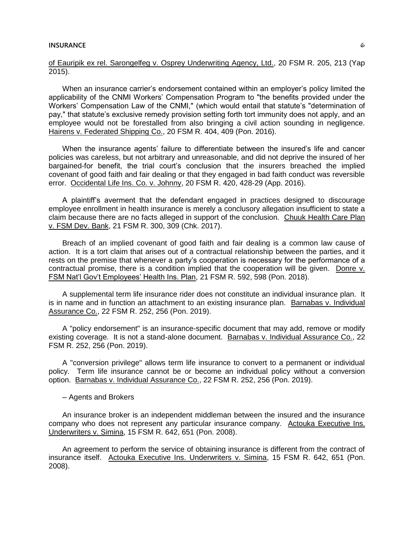of Eauripik ex rel. Sarongelfeg v. Osprey Underwriting Agency, Ltd., 20 FSM R. 205, 213 (Yap 2015).

When an insurance carrier's endorsement contained within an employer's policy limited the applicability of the CNMI Workers' Compensation Program to "the benefits provided under the Workers' Compensation Law of the CNMI," (which would entail that statute's "determination of pay," that statute's exclusive remedy provision setting forth tort immunity does not apply, and an employee would not be forestalled from also bringing a civil action sounding in negligence. Hairens v. Federated Shipping Co., 20 FSM R. 404, 409 (Pon. 2016).

When the insurance agents' failure to differentiate between the insured's life and cancer policies was careless, but not arbitrary and unreasonable, and did not deprive the insured of her bargained-for benefit, the trial court's conclusion that the insurers breached the implied covenant of good faith and fair dealing or that they engaged in bad faith conduct was reversible error. Occidental Life Ins. Co. v. Johnny, 20 FSM R. 420, 428-29 (App. 2016).

A plaintiff's averment that the defendant engaged in practices designed to discourage employee enrollment in health insurance is merely a conclusory allegation insufficient to state a claim because there are no facts alleged in support of the conclusion. Chuuk Health Care Plan v. FSM Dev. Bank, 21 FSM R. 300, 309 (Chk. 2017).

Breach of an implied covenant of good faith and fair dealing is a common law cause of action. It is a tort claim that arises out of a contractual relationship between the parties, and it rests on the premise that whenever a party's cooperation is necessary for the performance of a contractual promise, there is a condition implied that the cooperation will be given. Donre v. FSM Nat'l Gov't Employees' Health Ins. Plan, 21 FSM R. 592, 598 (Pon. 2018).

A supplemental term life insurance rider does not constitute an individual insurance plan. It is in name and in function an attachment to an existing insurance plan. Barnabas v. Individual Assurance Co., 22 FSM R. 252, 256 (Pon. 2019).

A "policy endorsement" is an insurance-specific document that may add, remove or modify existing coverage. It is not a stand-alone document. Barnabas v. Individual Assurance Co., 22 FSM R. 252, 256 (Pon. 2019).

A "conversion privilege" allows term life insurance to convert to a permanent or individual policy. Term life insurance cannot be or become an individual policy without a conversion option. Barnabas v. Individual Assurance Co., 22 FSM R. 252, 256 (Pon. 2019).

─ Agents and Brokers

An insurance broker is an independent middleman between the insured and the insurance company who does not represent any particular insurance company. Actouka Executive Ins. Underwriters v. Simina, 15 FSM R. 642, 651 (Pon. 2008).

An agreement to perform the service of obtaining insurance is different from the contract of insurance itself. Actouka Executive Ins. Underwriters v. Simina, 15 FSM R. 642, 651 (Pon. 2008).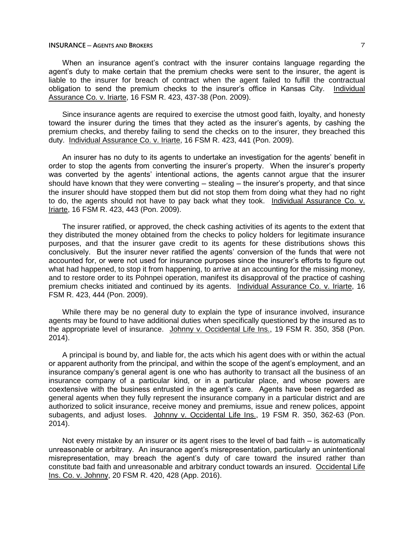### **INSURANCE ─ AGENTS AND BROKERS** 7

When an insurance agent's contract with the insurer contains language regarding the agent's duty to make certain that the premium checks were sent to the insurer, the agent is liable to the insurer for breach of contract when the agent failed to fulfill the contractual obligation to send the premium checks to the insurer's office in Kansas City. Individual Assurance Co. v. Iriarte, 16 FSM R. 423, 437-38 (Pon. 2009).

Since insurance agents are required to exercise the utmost good faith, loyalty, and honesty toward the insurer during the times that they acted as the insurer's agents, by cashing the premium checks, and thereby failing to send the checks on to the insurer, they breached this duty. Individual Assurance Co. v. Iriarte, 16 FSM R. 423, 441 (Pon. 2009).

An insurer has no duty to its agents to undertake an investigation for the agents' benefit in order to stop the agents from converting the insurer's property. When the insurer's property was converted by the agents' intentional actions, the agents cannot argue that the insurer should have known that they were converting  $-$  stealing  $-$  the insurer's property, and that since the insurer should have stopped them but did not stop them from doing what they had no right to do, the agents should not have to pay back what they took. Individual Assurance Co. v. Iriarte, 16 FSM R. 423, 443 (Pon. 2009).

The insurer ratified, or approved, the check cashing activities of its agents to the extent that they distributed the money obtained from the checks to policy holders for legitimate insurance purposes, and that the insurer gave credit to its agents for these distributions shows this conclusively. But the insurer never ratified the agents' conversion of the funds that were not accounted for, or were not used for insurance purposes since the insurer's efforts to figure out what had happened, to stop it from happening, to arrive at an accounting for the missing money, and to restore order to its Pohnpei operation, manifest its disapproval of the practice of cashing premium checks initiated and continued by its agents. Individual Assurance Co. v. Iriarte, 16 FSM R. 423, 444 (Pon. 2009).

While there may be no general duty to explain the type of insurance involved, insurance agents may be found to have additional duties when specifically questioned by the insured as to the appropriate level of insurance. Johnny v. Occidental Life Ins., 19 FSM R. 350, 358 (Pon. 2014).

A principal is bound by, and liable for, the acts which his agent does with or within the actual or apparent authority from the principal, and within the scope of the agent's employment, and an insurance company's general agent is one who has authority to transact all the business of an insurance company of a particular kind, or in a particular place, and whose powers are coextensive with the business entrusted in the agent's care. Agents have been regarded as general agents when they fully represent the insurance company in a particular district and are authorized to solicit insurance, receive money and premiums, issue and renew polices, appoint subagents, and adjust loses. Johnny v. Occidental Life Ins., 19 FSM R. 350, 362-63 (Pon. 2014).

Not every mistake by an insurer or its agent rises to the level of bad faith  $-$  is automatically unreasonable or arbitrary. An insurance agent's misrepresentation, particularly an unintentional misrepresentation, may breach the agent's duty of care toward the insured rather than constitute bad faith and unreasonable and arbitrary conduct towards an insured. Occidental Life Ins. Co. v. Johnny, 20 FSM R. 420, 428 (App. 2016).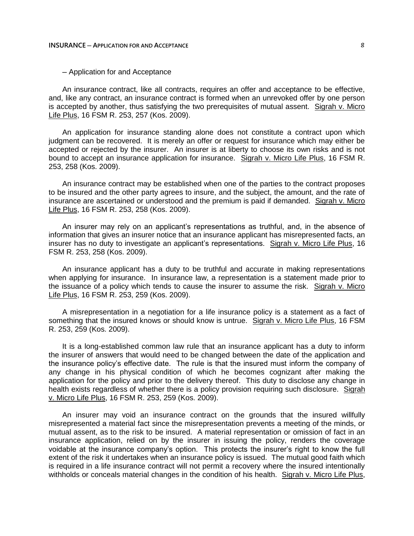─ Application for and Acceptance

An insurance contract, like all contracts, requires an offer and acceptance to be effective, and, like any contract, an insurance contract is formed when an unrevoked offer by one person is accepted by another, thus satisfying the two prerequisites of mutual assent. Sigrah v. Micro Life Plus, 16 FSM R. 253, 257 (Kos. 2009).

An application for insurance standing alone does not constitute a contract upon which judgment can be recovered. It is merely an offer or request for insurance which may either be accepted or rejected by the insurer. An insurer is at liberty to choose its own risks and is not bound to accept an insurance application for insurance. Sigrah v. Micro Life Plus, 16 FSM R. 253, 258 (Kos. 2009).

An insurance contract may be established when one of the parties to the contract proposes to be insured and the other party agrees to insure, and the subject, the amount, and the rate of insurance are ascertained or understood and the premium is paid if demanded. Sigrah v. Micro Life Plus, 16 FSM R. 253, 258 (Kos. 2009).

An insurer may rely on an applicant's representations as truthful, and, in the absence of information that gives an insurer notice that an insurance applicant has misrepresented facts, an insurer has no duty to investigate an applicant's representations. Sigrah v. Micro Life Plus, 16 FSM R. 253, 258 (Kos. 2009).

An insurance applicant has a duty to be truthful and accurate in making representations when applying for insurance. In insurance law, a representation is a statement made prior to the issuance of a policy which tends to cause the insurer to assume the risk. Sigrah v. Micro Life Plus, 16 FSM R. 253, 259 (Kos. 2009).

A misrepresentation in a negotiation for a life insurance policy is a statement as a fact of something that the insured knows or should know is untrue. Sigrah v. Micro Life Plus, 16 FSM R. 253, 259 (Kos. 2009).

It is a long-established common law rule that an insurance applicant has a duty to inform the insurer of answers that would need to be changed between the date of the application and the insurance policy's effective date. The rule is that the insured must inform the company of any change in his physical condition of which he becomes cognizant after making the application for the policy and prior to the delivery thereof. This duty to disclose any change in health exists regardless of whether there is a policy provision requiring such disclosure. Sigrah v. Micro Life Plus, 16 FSM R. 253, 259 (Kos. 2009).

An insurer may void an insurance contract on the grounds that the insured willfully misrepresented a material fact since the misrepresentation prevents a meeting of the minds, or mutual assent, as to the risk to be insured. A material representation or omission of fact in an insurance application, relied on by the insurer in issuing the policy, renders the coverage voidable at the insurance company's option. This protects the insurer's right to know the full extent of the risk it undertakes when an insurance policy is issued. The mutual good faith which is required in a life insurance contract will not permit a recovery where the insured intentionally withholds or conceals material changes in the condition of his health. Sigrah v. Micro Life Plus,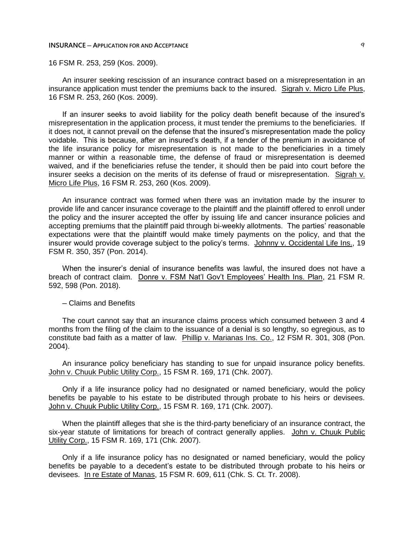### **INSURANCE ─ APPLICATION FOR AND ACCEPTANCE** 9

16 FSM R. 253, 259 (Kos. 2009).

An insurer seeking rescission of an insurance contract based on a misrepresentation in an insurance application must tender the premiums back to the insured. Sigrah v. Micro Life Plus, 16 FSM R. 253, 260 (Kos. 2009).

If an insurer seeks to avoid liability for the policy death benefit because of the insured's misrepresentation in the application process, it must tender the premiums to the beneficiaries. If it does not, it cannot prevail on the defense that the insured's misrepresentation made the policy voidable. This is because, after an insured's death, if a tender of the premium in avoidance of the life insurance policy for misrepresentation is not made to the beneficiaries in a timely manner or within a reasonable time, the defense of fraud or misrepresentation is deemed waived, and if the beneficiaries refuse the tender, it should then be paid into court before the insurer seeks a decision on the merits of its defense of fraud or misrepresentation. Sigrah v. Micro Life Plus, 16 FSM R. 253, 260 (Kos. 2009).

An insurance contract was formed when there was an invitation made by the insurer to provide life and cancer insurance coverage to the plaintiff and the plaintiff offered to enroll under the policy and the insurer accepted the offer by issuing life and cancer insurance policies and accepting premiums that the plaintiff paid through bi-weekly allotments. The parties' reasonable expectations were that the plaintiff would make timely payments on the policy, and that the insurer would provide coverage subject to the policy's terms. Johnny v. Occidental Life Ins., 19 FSM R. 350, 357 (Pon. 2014).

When the insurer's denial of insurance benefits was lawful, the insured does not have a breach of contract claim. Donre v. FSM Nat'l Gov't Employees' Health Ins. Plan, 21 FSM R. 592, 598 (Pon. 2018).

─ Claims and Benefits

The court cannot say that an insurance claims process which consumed between 3 and 4 months from the filing of the claim to the issuance of a denial is so lengthy, so egregious, as to constitute bad faith as a matter of law. Phillip v. Marianas Ins. Co., 12 FSM R. 301, 308 (Pon. 2004).

An insurance policy beneficiary has standing to sue for unpaid insurance policy benefits. John v. Chuuk Public Utility Corp., 15 FSM R. 169, 171 (Chk. 2007).

Only if a life insurance policy had no designated or named beneficiary, would the policy benefits be payable to his estate to be distributed through probate to his heirs or devisees. John v. Chuuk Public Utility Corp., 15 FSM R. 169, 171 (Chk. 2007).

When the plaintiff alleges that she is the third-party beneficiary of an insurance contract, the six-year statute of limitations for breach of contract generally applies. John v. Chuuk Public Utility Corp., 15 FSM R. 169, 171 (Chk. 2007).

Only if a life insurance policy has no designated or named beneficiary, would the policy benefits be payable to a decedent's estate to be distributed through probate to his heirs or devisees. In re Estate of Manas, 15 FSM R. 609, 611 (Chk. S. Ct. Tr. 2008).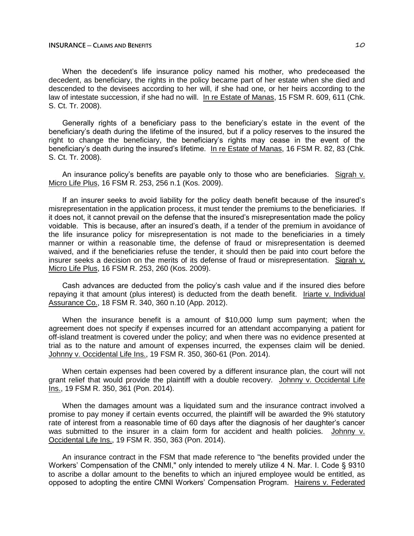### **INSURANCE ─ CLAIMS AND BENEFITS** 10

When the decedent's life insurance policy named his mother, who predeceased the decedent, as beneficiary, the rights in the policy became part of her estate when she died and descended to the devisees according to her will, if she had one, or her heirs according to the law of intestate succession, if she had no will. In re Estate of Manas, 15 FSM R. 609, 611 (Chk. S. Ct. Tr. 2008).

Generally rights of a beneficiary pass to the beneficiary's estate in the event of the beneficiary's death during the lifetime of the insured, but if a policy reserves to the insured the right to change the beneficiary, the beneficiary's rights may cease in the event of the beneficiary's death during the insured's lifetime. In re Estate of Manas, 16 FSM R. 82, 83 (Chk. S. Ct. Tr. 2008).

An insurance policy's benefits are payable only to those who are beneficiaries. Sigrah v. Micro Life Plus, 16 FSM R. 253, 256 n.1 (Kos. 2009).

If an insurer seeks to avoid liability for the policy death benefit because of the insured's misrepresentation in the application process, it must tender the premiums to the beneficiaries. If it does not, it cannot prevail on the defense that the insured's misrepresentation made the policy voidable. This is because, after an insured's death, if a tender of the premium in avoidance of the life insurance policy for misrepresentation is not made to the beneficiaries in a timely manner or within a reasonable time, the defense of fraud or misrepresentation is deemed waived, and if the beneficiaries refuse the tender, it should then be paid into court before the insurer seeks a decision on the merits of its defense of fraud or misrepresentation. Sigrah v. Micro Life Plus, 16 FSM R. 253, 260 (Kos. 2009).

Cash advances are deducted from the policy's cash value and if the insured dies before repaying it that amount (plus interest) is deducted from the death benefit. Iriarte v. Individual Assurance Co., 18 FSM R. 340, 360 n.10 (App. 2012).

When the insurance benefit is a amount of \$10,000 lump sum payment; when the agreement does not specify if expenses incurred for an attendant accompanying a patient for off-island treatment is covered under the policy; and when there was no evidence presented at trial as to the nature and amount of expenses incurred, the expenses claim will be denied. Johnny v. Occidental Life Ins., 19 FSM R. 350, 360-61 (Pon. 2014).

When certain expenses had been covered by a different insurance plan, the court will not grant relief that would provide the plaintiff with a double recovery. Johnny v. Occidental Life Ins., 19 FSM R. 350, 361 (Pon. 2014).

When the damages amount was a liquidated sum and the insurance contract involved a promise to pay money if certain events occurred, the plaintiff will be awarded the 9% statutory rate of interest from a reasonable time of 60 days after the diagnosis of her daughter's cancer was submitted to the insurer in a claim form for accident and health policies. Johnny v. Occidental Life Ins., 19 FSM R. 350, 363 (Pon. 2014).

An insurance contract in the FSM that made reference to "the benefits provided under the Workers' Compensation of the CNMI," only intended to merely utilize 4 N. Mar. I. Code § 9310 to ascribe a dollar amount to the benefits to which an injured employee would be entitled, as opposed to adopting the entire CMNI Workers' Compensation Program. Hairens v. Federated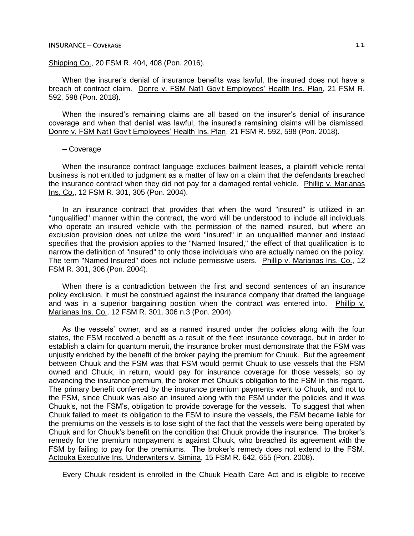## **INSURANCE ─ COVERAGE** 11

# Shipping Co., 20 FSM R. 404, 408 (Pon. 2016).

When the insurer's denial of insurance benefits was lawful, the insured does not have a breach of contract claim. Donre v. FSM Nat'l Gov't Employees' Health Ins. Plan, 21 FSM R. 592, 598 (Pon. 2018).

When the insured's remaining claims are all based on the insurer's denial of insurance coverage and when that denial was lawful, the insured's remaining claims will be dismissed. Donre v. FSM Nat'l Gov't Employees' Health Ins. Plan, 21 FSM R. 592, 598 (Pon. 2018).

## ─ Coverage

When the insurance contract language excludes bailment leases, a plaintiff vehicle rental business is not entitled to judgment as a matter of law on a claim that the defendants breached the insurance contract when they did not pay for a damaged rental vehicle. Phillip v. Marianas Ins. Co., 12 FSM R. 301, 305 (Pon. 2004).

In an insurance contract that provides that when the word "insured" is utilized in an "unqualified" manner within the contract, the word will be understood to include all individuals who operate an insured vehicle with the permission of the named insured, but where an exclusion provision does not utilize the word "insured" in an unqualified manner and instead specifies that the provision applies to the "Named Insured," the effect of that qualification is to narrow the definition of "insured" to only those individuals who are actually named on the policy. The term "Named Insured" does not include permissive users. Phillip v. Marianas Ins. Co., 12 FSM R. 301, 306 (Pon. 2004).

When there is a contradiction between the first and second sentences of an insurance policy exclusion, it must be construed against the insurance company that drafted the language and was in a superior bargaining position when the contract was entered into. Phillip v. Marianas Ins. Co., 12 FSM R. 301, 306 n.3 (Pon. 2004).

As the vessels' owner, and as a named insured under the policies along with the four states, the FSM received a benefit as a result of the fleet insurance coverage, but in order to establish a claim for quantum meruit, the insurance broker must demonstrate that the FSM was unjustly enriched by the benefit of the broker paying the premium for Chuuk. But the agreement between Chuuk and the FSM was that FSM would permit Chuuk to use vessels that the FSM owned and Chuuk, in return, would pay for insurance coverage for those vessels; so by advancing the insurance premium, the broker met Chuuk's obligation to the FSM in this regard. The primary benefit conferred by the insurance premium payments went to Chuuk, and not to the FSM, since Chuuk was also an insured along with the FSM under the policies and it was Chuuk's, not the FSM's, obligation to provide coverage for the vessels. To suggest that when Chuuk failed to meet its obligation to the FSM to insure the vessels, the FSM became liable for the premiums on the vessels is to lose sight of the fact that the vessels were being operated by Chuuk and for Chuuk's benefit on the condition that Chuuk provide the insurance. The broker's remedy for the premium nonpayment is against Chuuk, who breached its agreement with the FSM by failing to pay for the premiums. The broker's remedy does not extend to the FSM. Actouka Executive Ins. Underwriters v. Simina, 15 FSM R. 642, 655 (Pon. 2008).

Every Chuuk resident is enrolled in the Chuuk Health Care Act and is eligible to receive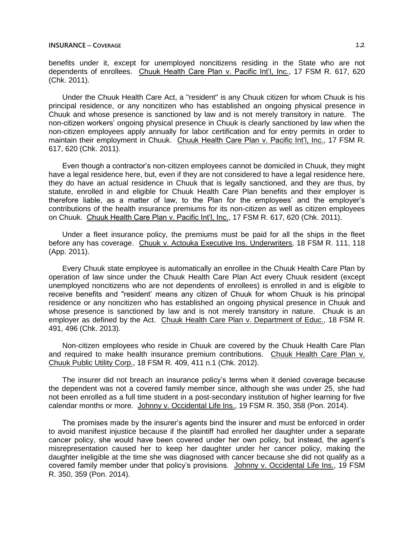benefits under it, except for unemployed noncitizens residing in the State who are not dependents of enrollees. Chuuk Health Care Plan v. Pacific Int'l, Inc., 17 FSM R. 617, 620 (Chk. 2011).

Under the Chuuk Health Care Act, a "resident" is any Chuuk citizen for whom Chuuk is his principal residence, or any noncitizen who has established an ongoing physical presence in Chuuk and whose presence is sanctioned by law and is not merely transitory in nature. The non-citizen workers' ongoing physical presence in Chuuk is clearly sanctioned by law when the non-citizen employees apply annually for labor certification and for entry permits in order to maintain their employment in Chuuk. Chuuk Health Care Plan v. Pacific Int'l, Inc., 17 FSM R. 617, 620 (Chk. 2011).

Even though a contractor's non-citizen employees cannot be domiciled in Chuuk, they might have a legal residence here, but, even if they are not considered to have a legal residence here, they do have an actual residence in Chuuk that is legally sanctioned, and they are thus, by statute, enrolled in and eligible for Chuuk Health Care Plan benefits and their employer is therefore liable, as a matter of law, to the Plan for the employees' and the employer's contributions of the health insurance premiums for its non-citizen as well as citizen employees on Chuuk. Chuuk Health Care Plan v. Pacific Int'l, Inc., 17 FSM R. 617, 620 (Chk. 2011).

Under a fleet insurance policy, the premiums must be paid for all the ships in the fleet before any has coverage. Chuuk v. Actouka Executive Ins. Underwriters, 18 FSM R. 111, 118 (App. 2011).

Every Chuuk state employee is automatically an enrollee in the Chuuk Health Care Plan by operation of law since under the Chuuk Health Care Plan Act every Chuuk resident (except unemployed noncitizens who are not dependents of enrollees) is enrolled in and is eligible to receive benefits and "resident' means any citizen of Chuuk for whom Chuuk is his principal residence or any noncitizen who has established an ongoing physical presence in Chuuk and whose presence is sanctioned by law and is not merely transitory in nature. Chuuk is an employer as defined by the Act. Chuuk Health Care Plan v. Department of Educ., 18 FSM R. 491, 496 (Chk. 2013).

Non-citizen employees who reside in Chuuk are covered by the Chuuk Health Care Plan and required to make health insurance premium contributions. Chuuk Health Care Plan v. Chuuk Public Utility Corp., 18 FSM R. 409, 411 n.1 (Chk. 2012).

The insurer did not breach an insurance policy's terms when it denied coverage because the dependent was not a covered family member since, although she was under 25, she had not been enrolled as a full time student in a post-secondary institution of higher learning for five calendar months or more. Johnny v. Occidental Life Ins., 19 FSM R. 350, 358 (Pon. 2014).

The promises made by the insurer's agents bind the insurer and must be enforced in order to avoid manifest injustice because if the plaintiff had enrolled her daughter under a separate cancer policy, she would have been covered under her own policy, but instead, the agent's misrepresentation caused her to keep her daughter under her cancer policy, making the daughter ineligible at the time she was diagnosed with cancer because she did not qualify as a covered family member under that policy's provisions. Johnny v. Occidental Life Ins., 19 FSM R. 350, 359 (Pon. 2014).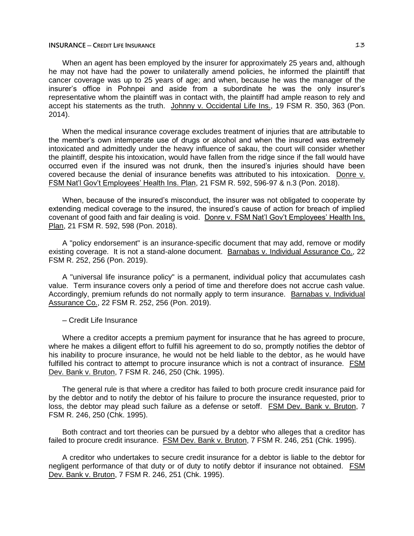## **INSURANCE** — CREDIT LIFE INSURANCE

When an agent has been employed by the insurer for approximately 25 years and, although he may not have had the power to unilaterally amend policies, he informed the plaintiff that cancer coverage was up to 25 years of age; and when, because he was the manager of the insurer's office in Pohnpei and aside from a subordinate he was the only insurer's representative whom the plaintiff was in contact with, the plaintiff had ample reason to rely and accept his statements as the truth. Johnny v. Occidental Life Ins., 19 FSM R. 350, 363 (Pon. 2014).

When the medical insurance coverage excludes treatment of injuries that are attributable to the member's own intemperate use of drugs or alcohol and when the insured was extremely intoxicated and admittedly under the heavy influence of sakau, the court will consider whether the plaintiff, despite his intoxication, would have fallen from the ridge since if the fall would have occurred even if the insured was not drunk, then the insured's injuries should have been covered because the denial of insurance benefits was attributed to his intoxication. Donre v. FSM Nat'l Gov't Employees' Health Ins. Plan, 21 FSM R. 592, 596-97 & n.3 (Pon. 2018).

When, because of the insured's misconduct, the insurer was not obligated to cooperate by extending medical coverage to the insured, the insured's cause of action for breach of implied covenant of good faith and fair dealing is void. Donre v. FSM Nat'l Gov't Employees' Health Ins. Plan, 21 FSM R. 592, 598 (Pon. 2018).

A "policy endorsement" is an insurance-specific document that may add, remove or modify existing coverage. It is not a stand-alone document. Barnabas v. Individual Assurance Co., 22 FSM R. 252, 256 (Pon. 2019).

A "universal life insurance policy" is a permanent, individual policy that accumulates cash value. Term insurance covers only a period of time and therefore does not accrue cash value. Accordingly, premium refunds do not normally apply to term insurance. Barnabas v. Individual Assurance Co., 22 FSM R. 252, 256 (Pon. 2019).

─ Credit Life Insurance

Where a creditor accepts a premium payment for insurance that he has agreed to procure, where he makes a diligent effort to fulfill his agreement to do so, promptly notifies the debtor of his inability to procure insurance, he would not be held liable to the debtor, as he would have fulfilled his contract to attempt to procure insurance which is not a contract of insurance. FSM Dev. Bank v. Bruton, 7 FSM R. 246, 250 (Chk. 1995).

The general rule is that where a creditor has failed to both procure credit insurance paid for by the debtor and to notify the debtor of his failure to procure the insurance requested, prior to loss, the debtor may plead such failure as a defense or setoff. FSM Dev. Bank v. Bruton, 7 FSM R. 246, 250 (Chk. 1995).

Both contract and tort theories can be pursued by a debtor who alleges that a creditor has failed to procure credit insurance. FSM Dev. Bank v. Bruton, 7 FSM R. 246, 251 (Chk. 1995).

A creditor who undertakes to secure credit insurance for a debtor is liable to the debtor for negligent performance of that duty or of duty to notify debtor if insurance not obtained. FSM Dev. Bank v. Bruton, 7 FSM R. 246, 251 (Chk. 1995).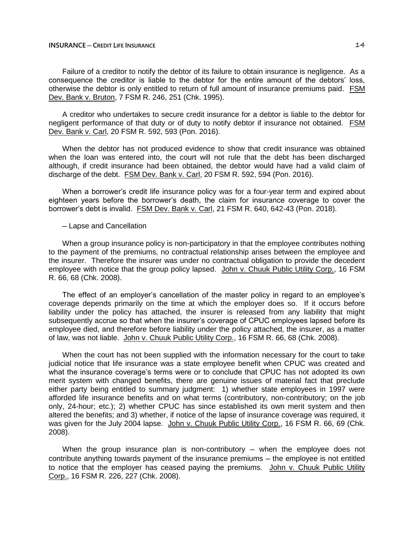## **INSURANCE** — CREDIT LIFE INSURANCE

Failure of a creditor to notify the debtor of its failure to obtain insurance is negligence. As a consequence the creditor is liable to the debtor for the entire amount of the debtors' loss, otherwise the debtor is only entitled to return of full amount of insurance premiums paid. FSM Dev. Bank v. Bruton, 7 FSM R. 246, 251 (Chk. 1995).

A creditor who undertakes to secure credit insurance for a debtor is liable to the debtor for negligent performance of that duty or of duty to notify debtor if insurance not obtained. FSM Dev. Bank v. Carl, 20 FSM R. 592, 593 (Pon. 2016).

When the debtor has not produced evidence to show that credit insurance was obtained when the loan was entered into, the court will not rule that the debt has been discharged although, if credit insurance had been obtained, the debtor would have had a valid claim of discharge of the debt. FSM Dev. Bank v. Carl, 20 FSM R. 592, 594 (Pon. 2016).

When a borrower's credit life insurance policy was for a four-year term and expired about eighteen years before the borrower's death, the claim for insurance coverage to cover the borrower's debt is invalid. FSM Dev. Bank v. Carl, 21 FSM R. 640, 642-43 (Pon. 2018).

#### ─ Lapse and Cancellation

When a group insurance policy is non-participatory in that the employee contributes nothing to the payment of the premiums, no contractual relationship arises between the employee and the insurer. Therefore the insurer was under no contractual obligation to provide the decedent employee with notice that the group policy lapsed. John v. Chuuk Public Utility Corp., 16 FSM R. 66, 68 (Chk. 2008).

The effect of an employer's cancellation of the master policy in regard to an employee's coverage depends primarily on the time at which the employer does so. If it occurs before liability under the policy has attached, the insurer is released from any liability that might subsequently accrue so that when the insurer's coverage of CPUC employees lapsed before its employee died, and therefore before liability under the policy attached, the insurer, as a matter of law, was not liable. John v. Chuuk Public Utility Corp., 16 FSM R. 66, 68 (Chk. 2008).

When the court has not been supplied with the information necessary for the court to take judicial notice that life insurance was a state employee benefit when CPUC was created and what the insurance coverage's terms were or to conclude that CPUC has not adopted its own merit system with changed benefits, there are genuine issues of material fact that preclude either party being entitled to summary judgment: 1) whether state employees in 1997 were afforded life insurance benefits and on what terms (contributory, non-contributory; on the job only, 24-hour; etc.); 2) whether CPUC has since established its own merit system and then altered the benefits; and 3) whether, if notice of the lapse of insurance coverage was required, it was given for the July 2004 lapse. John v. Chuuk Public Utility Corp., 16 FSM R. 66, 69 (Chk. 2008).

When the group insurance plan is non-contributory  $-$  when the employee does not contribute anything towards payment of the insurance premiums – the employee is not entitled to notice that the employer has ceased paying the premiums. John v. Chuuk Public Utility Corp., 16 FSM R. 226, 227 (Chk. 2008).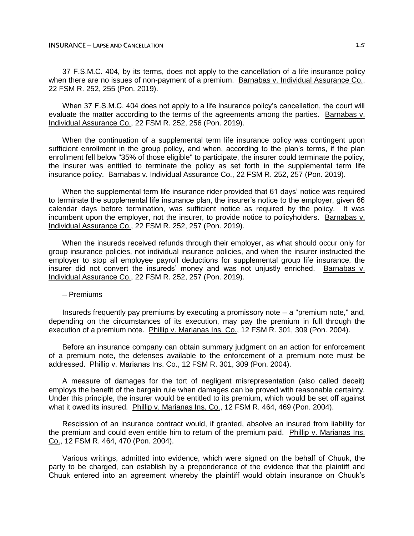### **INSURANCE ─ LAPSE AND CANCELLATION** 15

37 F.S.M.C. 404, by its terms, does not apply to the cancellation of a life insurance policy when there are no issues of non-payment of a premium. Barnabas v. Individual Assurance Co., 22 FSM R. 252, 255 (Pon. 2019).

When 37 F.S.M.C. 404 does not apply to a life insurance policy's cancellation, the court will evaluate the matter according to the terms of the agreements among the parties. Barnabas v. Individual Assurance Co., 22 FSM R. 252, 256 (Pon. 2019).

When the continuation of a supplemental term life insurance policy was contingent upon sufficient enrollment in the group policy, and when, according to the plan's terms, if the plan enrollment fell below "35% of those eligible" to participate, the insurer could terminate the policy, the insurer was entitled to terminate the policy as set forth in the supplemental term life insurance policy. Barnabas v. Individual Assurance Co., 22 FSM R. 252, 257 (Pon. 2019).

When the supplemental term life insurance rider provided that 61 days' notice was required to terminate the supplemental life insurance plan, the insurer's notice to the employer, given 66 calendar days before termination, was sufficient notice as required by the policy. It was incumbent upon the employer, not the insurer, to provide notice to policyholders. Barnabas v. Individual Assurance Co., 22 FSM R. 252, 257 (Pon. 2019).

When the insureds received refunds through their employer, as what should occur only for group insurance policies, not individual insurance policies, and when the insurer instructed the employer to stop all employee payroll deductions for supplemental group life insurance, the insurer did not convert the insureds' money and was not unjustly enriched. Barnabas v. Individual Assurance Co., 22 FSM R. 252, 257 (Pon. 2019).

─ Premiums

Insureds frequently pay premiums by executing a promissory note ─ a "premium note," and, depending on the circumstances of its execution, may pay the premium in full through the execution of a premium note. Phillip v. Marianas Ins. Co., 12 FSM R. 301, 309 (Pon. 2004).

Before an insurance company can obtain summary judgment on an action for enforcement of a premium note, the defenses available to the enforcement of a premium note must be addressed. Phillip v. Marianas Ins. Co., 12 FSM R. 301, 309 (Pon. 2004).

A measure of damages for the tort of negligent misrepresentation (also called deceit) employs the benefit of the bargain rule when damages can be proved with reasonable certainty. Under this principle, the insurer would be entitled to its premium, which would be set off against what it owed its insured. Phillip v. Marianas Ins. Co., 12 FSM R. 464, 469 (Pon. 2004).

Rescission of an insurance contract would, if granted, absolve an insured from liability for the premium and could even entitle him to return of the premium paid. Phillip v. Marianas Ins. Co., 12 FSM R. 464, 470 (Pon. 2004).

Various writings, admitted into evidence, which were signed on the behalf of Chuuk, the party to be charged, can establish by a preponderance of the evidence that the plaintiff and Chuuk entered into an agreement whereby the plaintiff would obtain insurance on Chuuk's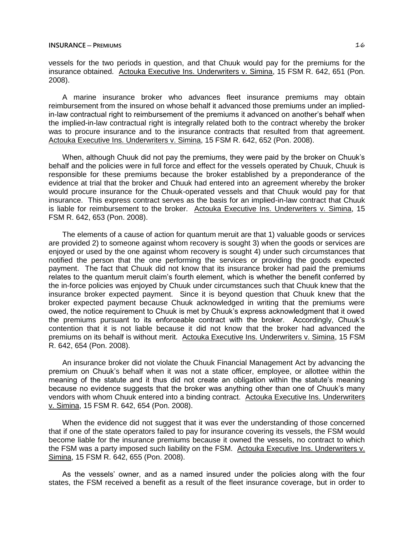vessels for the two periods in question, and that Chuuk would pay for the premiums for the insurance obtained. Actouka Executive Ins. Underwriters v. Simina, 15 FSM R. 642, 651 (Pon. 2008).

A marine insurance broker who advances fleet insurance premiums may obtain reimbursement from the insured on whose behalf it advanced those premiums under an impliedin-law contractual right to reimbursement of the premiums it advanced on another's behalf when the implied-in-law contractual right is integrally related both to the contract whereby the broker was to procure insurance and to the insurance contracts that resulted from that agreement. Actouka Executive Ins. Underwriters v. Simina, 15 FSM R. 642, 652 (Pon. 2008).

When, although Chuuk did not pay the premiums, they were paid by the broker on Chuuk's behalf and the policies were in full force and effect for the vessels operated by Chuuk, Chuuk is responsible for these premiums because the broker established by a preponderance of the evidence at trial that the broker and Chuuk had entered into an agreement whereby the broker would procure insurance for the Chuuk-operated vessels and that Chuuk would pay for that insurance. This express contract serves as the basis for an implied-in-law contract that Chuuk is liable for reimbursement to the broker. Actouka Executive Ins. Underwriters v. Simina, 15 FSM R. 642, 653 (Pon. 2008).

The elements of a cause of action for quantum meruit are that 1) valuable goods or services are provided 2) to someone against whom recovery is sought 3) when the goods or services are enjoyed or used by the one against whom recovery is sought 4) under such circumstances that notified the person that the one performing the services or providing the goods expected payment. The fact that Chuuk did not know that its insurance broker had paid the premiums relates to the quantum meruit claim's fourth element, which is whether the benefit conferred by the in-force policies was enjoyed by Chuuk under circumstances such that Chuuk knew that the insurance broker expected payment. Since it is beyond question that Chuuk knew that the broker expected payment because Chuuk acknowledged in writing that the premiums were owed, the notice requirement to Chuuk is met by Chuuk's express acknowledgment that it owed the premiums pursuant to its enforceable contract with the broker. Accordingly, Chuuk's contention that it is not liable because it did not know that the broker had advanced the premiums on its behalf is without merit. Actouka Executive Ins. Underwriters v. Simina, 15 FSM R. 642, 654 (Pon. 2008).

An insurance broker did not violate the Chuuk Financial Management Act by advancing the premium on Chuuk's behalf when it was not a state officer, employee, or allottee within the meaning of the statute and it thus did not create an obligation within the statute's meaning because no evidence suggests that the broker was anything other than one of Chuuk's many vendors with whom Chuuk entered into a binding contract. Actouka Executive Ins. Underwriters v. Simina, 15 FSM R. 642, 654 (Pon. 2008).

When the evidence did not suggest that it was ever the understanding of those concerned that if one of the state operators failed to pay for insurance covering its vessels, the FSM would become liable for the insurance premiums because it owned the vessels, no contract to which the FSM was a party imposed such liability on the FSM. Actouka Executive Ins. Underwriters v. Simina, 15 FSM R. 642, 655 (Pon. 2008).

As the vessels' owner, and as a named insured under the policies along with the four states, the FSM received a benefit as a result of the fleet insurance coverage, but in order to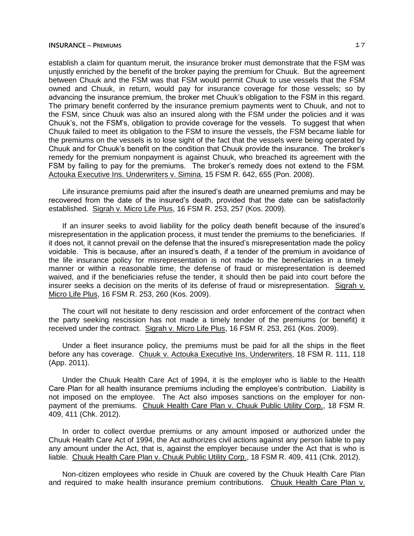## **INSURANCE** — **P**REMIUMS **17**

establish a claim for quantum meruit, the insurance broker must demonstrate that the FSM was unjustly enriched by the benefit of the broker paying the premium for Chuuk. But the agreement between Chuuk and the FSM was that FSM would permit Chuuk to use vessels that the FSM owned and Chuuk, in return, would pay for insurance coverage for those vessels; so by advancing the insurance premium, the broker met Chuuk's obligation to the FSM in this regard. The primary benefit conferred by the insurance premium payments went to Chuuk, and not to the FSM, since Chuuk was also an insured along with the FSM under the policies and it was Chuuk's, not the FSM's, obligation to provide coverage for the vessels. To suggest that when Chuuk failed to meet its obligation to the FSM to insure the vessels, the FSM became liable for the premiums on the vessels is to lose sight of the fact that the vessels were being operated by Chuuk and for Chuuk's benefit on the condition that Chuuk provide the insurance. The broker's remedy for the premium nonpayment is against Chuuk, who breached its agreement with the FSM by failing to pay for the premiums. The broker's remedy does not extend to the FSM. Actouka Executive Ins. Underwriters v. Simina, 15 FSM R. 642, 655 (Pon. 2008).

Life insurance premiums paid after the insured's death are unearned premiums and may be recovered from the date of the insured's death, provided that the date can be satisfactorily established. Sigrah v. Micro Life Plus, 16 FSM R. 253, 257 (Kos. 2009).

If an insurer seeks to avoid liability for the policy death benefit because of the insured's misrepresentation in the application process, it must tender the premiums to the beneficiaries. If it does not, it cannot prevail on the defense that the insured's misrepresentation made the policy voidable. This is because, after an insured's death, if a tender of the premium in avoidance of the life insurance policy for misrepresentation is not made to the beneficiaries in a timely manner or within a reasonable time, the defense of fraud or misrepresentation is deemed waived, and if the beneficiaries refuse the tender, it should then be paid into court before the insurer seeks a decision on the merits of its defense of fraud or misrepresentation. Sigrah v. Micro Life Plus, 16 FSM R. 253, 260 (Kos. 2009).

The court will not hesitate to deny rescission and order enforcement of the contract when the party seeking rescission has not made a timely tender of the premiums (or benefit) it received under the contract. Sigrah v. Micro Life Plus, 16 FSM R. 253, 261 (Kos. 2009).

Under a fleet insurance policy, the premiums must be paid for all the ships in the fleet before any has coverage. Chuuk v. Actouka Executive Ins. Underwriters, 18 FSM R. 111, 118 (App. 2011).

Under the Chuuk Health Care Act of 1994, it is the employer who is liable to the Health Care Plan for all health insurance premiums including the employee's contribution. Liability is not imposed on the employee. The Act also imposes sanctions on the employer for nonpayment of the premiums. Chuuk Health Care Plan v. Chuuk Public Utility Corp., 18 FSM R. 409, 411 (Chk. 2012).

In order to collect overdue premiums or any amount imposed or authorized under the Chuuk Health Care Act of 1994, the Act authorizes civil actions against any person liable to pay any amount under the Act, that is, against the employer because under the Act that is who is liable. Chuuk Health Care Plan v. Chuuk Public Utility Corp., 18 FSM R. 409, 411 (Chk. 2012).

Non-citizen employees who reside in Chuuk are covered by the Chuuk Health Care Plan and required to make health insurance premium contributions. Chuuk Health Care Plan v.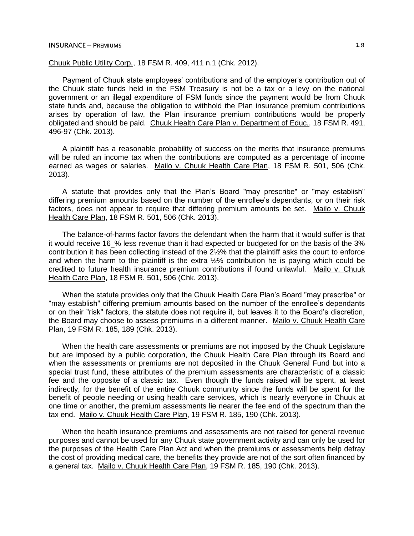### **INSURANCE** — **P**REMIUMS **18**

# Chuuk Public Utility Corp., 18 FSM R. 409, 411 n.1 (Chk. 2012).

Payment of Chuuk state employees' contributions and of the employer's contribution out of the Chuuk state funds held in the FSM Treasury is not be a tax or a levy on the national government or an illegal expenditure of FSM funds since the payment would be from Chuuk state funds and, because the obligation to withhold the Plan insurance premium contributions arises by operation of law, the Plan insurance premium contributions would be properly obligated and should be paid. Chuuk Health Care Plan v. Department of Educ., 18 FSM R. 491, 496-97 (Chk. 2013).

A plaintiff has a reasonable probability of success on the merits that insurance premiums will be ruled an income tax when the contributions are computed as a percentage of income earned as wages or salaries. Mailo v. Chuuk Health Care Plan, 18 FSM R. 501, 506 (Chk. 2013).

A statute that provides only that the Plan's Board "may prescribe" or "may establish" differing premium amounts based on the number of the enrollee's dependants, or on their risk factors, does not appear to require that differing premium amounts be set. Mailo v. Chuuk Health Care Plan, 18 FSM R. 501, 506 (Chk. 2013).

The balance-of-harms factor favors the defendant when the harm that it would suffer is that it would receive 16% less revenue than it had expected or budgeted for on the basis of the 3% contribution it has been collecting instead of the 2½% that the plaintiff asks the court to enforce and when the harm to the plaintiff is the extra  $1/2$ % contribution he is paying which could be credited to future health insurance premium contributions if found unlawful. Mailo v. Chuuk Health Care Plan, 18 FSM R. 501, 506 (Chk. 2013).

When the statute provides only that the Chuuk Health Care Plan's Board "may prescribe" or "may establish" differing premium amounts based on the number of the enrollee's dependants or on their "risk" factors, the statute does not require it, but leaves it to the Board's discretion, the Board may choose to assess premiums in a different manner. Mailo v. Chuuk Health Care Plan, 19 FSM R. 185, 189 (Chk. 2013).

When the health care assessments or premiums are not imposed by the Chuuk Legislature but are imposed by a public corporation, the Chuuk Health Care Plan through its Board and when the assessments or premiums are not deposited in the Chuuk General Fund but into a special trust fund, these attributes of the premium assessments are characteristic of a classic fee and the opposite of a classic tax. Even though the funds raised will be spent, at least indirectly, for the benefit of the entire Chuuk community since the funds will be spent for the benefit of people needing or using health care services, which is nearly everyone in Chuuk at one time or another, the premium assessments lie nearer the fee end of the spectrum than the tax end. Mailo v. Chuuk Health Care Plan, 19 FSM R. 185, 190 (Chk. 2013).

When the health insurance premiums and assessments are not raised for general revenue purposes and cannot be used for any Chuuk state government activity and can only be used for the purposes of the Health Care Plan Act and when the premiums or assessments help defray the cost of providing medical care, the benefits they provide are not of the sort often financed by a general tax. Mailo v. Chuuk Health Care Plan, 19 FSM R. 185, 190 (Chk. 2013).